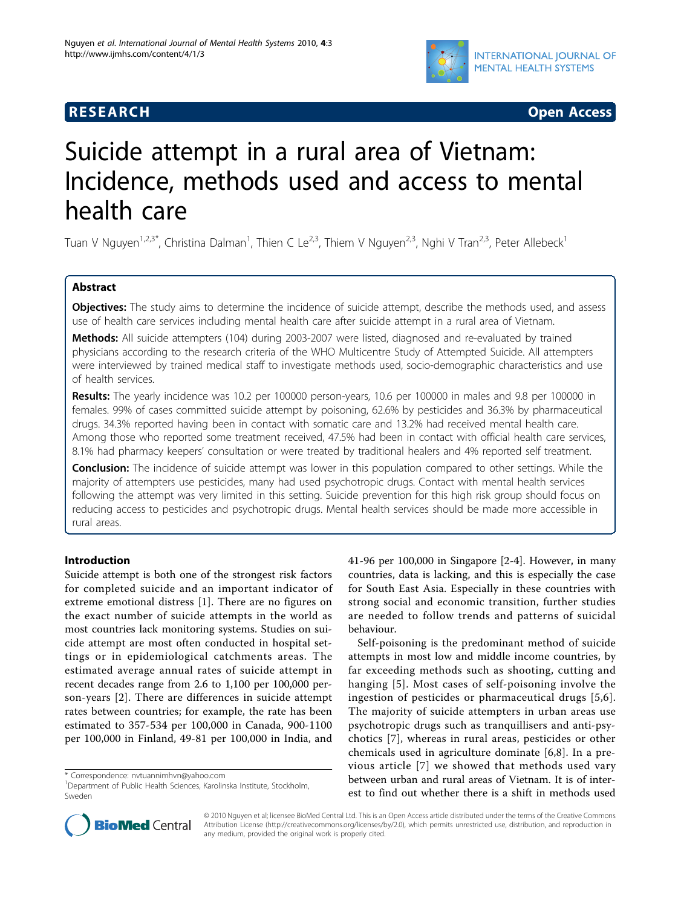

**RESEARCH CHRISTIAN CONSUMING CONTRACT CONSUMING CONSUMING CONSUMING CONSUMING CONSUMING CONSUMING CONSUMING CO** 

# Suicide attempt in a rural area of Vietnam: Incidence, methods used and access to mental health care

Tuan V Nguyen<sup>1,2,3\*</sup>, Christina Dalman<sup>1</sup>, Thien C Le<sup>2,3</sup>, Thiem V Nguyen<sup>2,3</sup>, Nghi V Tran<sup>2,3</sup>, Peter Allebeck<sup>1</sup>

# Abstract

Objectives: The study aims to determine the incidence of suicide attempt, describe the methods used, and assess use of health care services including mental health care after suicide attempt in a rural area of Vietnam.

Methods: All suicide attempters (104) during 2003-2007 were listed, diagnosed and re-evaluated by trained physicians according to the research criteria of the WHO Multicentre Study of Attempted Suicide. All attempters were interviewed by trained medical staff to investigate methods used, socio-demographic characteristics and use of health services.

Results: The yearly incidence was 10.2 per 100000 person-years, 10.6 per 100000 in males and 9.8 per 100000 in females. 99% of cases committed suicide attempt by poisoning, 62.6% by pesticides and 36.3% by pharmaceutical drugs. 34.3% reported having been in contact with somatic care and 13.2% had received mental health care. Among those who reported some treatment received, 47.5% had been in contact with official health care services, 8.1% had pharmacy keepers' consultation or were treated by traditional healers and 4% reported self treatment.

Conclusion: The incidence of suicide attempt was lower in this population compared to other settings. While the majority of attempters use pesticides, many had used psychotropic drugs. Contact with mental health services following the attempt was very limited in this setting. Suicide prevention for this high risk group should focus on reducing access to pesticides and psychotropic drugs. Mental health services should be made more accessible in rural areas.

# Introduction

Suicide attempt is both one of the strongest risk factors for completed suicide and an important indicator of extreme emotional distress [\[1](#page-4-0)]. There are no figures on the exact number of suicide attempts in the world as most countries lack monitoring systems. Studies on suicide attempt are most often conducted in hospital settings or in epidemiological catchments areas. The estimated average annual rates of suicide attempt in recent decades range from 2.6 to 1,100 per 100,000 person-years [[2\]](#page-4-0). There are differences in suicide attempt rates between countries; for example, the rate has been estimated to 357-534 per 100,000 in Canada, 900-1100 per 100,000 in Finland, 49-81 per 100,000 in India, and

41-96 per 100,000 in Singapore [[2-4](#page-4-0)]. However, in many countries, data is lacking, and this is especially the case for South East Asia. Especially in these countries with strong social and economic transition, further studies are needed to follow trends and patterns of suicidal behaviour.

Self-poisoning is the predominant method of suicide attempts in most low and middle income countries, by far exceeding methods such as shooting, cutting and hanging [\[5\]](#page-4-0). Most cases of self-poisoning involve the ingestion of pesticides or pharmaceutical drugs [[5](#page-4-0),[6\]](#page-4-0). The majority of suicide attempters in urban areas use psychotropic drugs such as tranquillisers and anti-psychotics [[7\]](#page-4-0), whereas in rural areas, pesticides or other chemicals used in agriculture dominate [\[6](#page-4-0),[8\]](#page-4-0). In a previous article [[7\]](#page-4-0) we showed that methods used vary between urban and rural areas of Vietnam. It is of interest to find out whether there is a shift in methods used



© 2010 Nguyen et al; licensee BioMed Central Ltd. This is an Open Access article distributed under the terms of the Creative Commons Attribution License [\(http://creativecommons.org/licenses/by/2.0](http://creativecommons.org/licenses/by/2.0)), which permits unrestricted use, distribution, and reproduction in any medium, provided the original work is properly cited.

<sup>\*</sup> Correspondence: [nvtuannimhvn@yahoo.com](mailto:nvtuannimhvn@yahoo.com)

<sup>&</sup>lt;sup>1</sup>Department of Public Health Sciences, Karolinska Institute, Stockholm, Sweden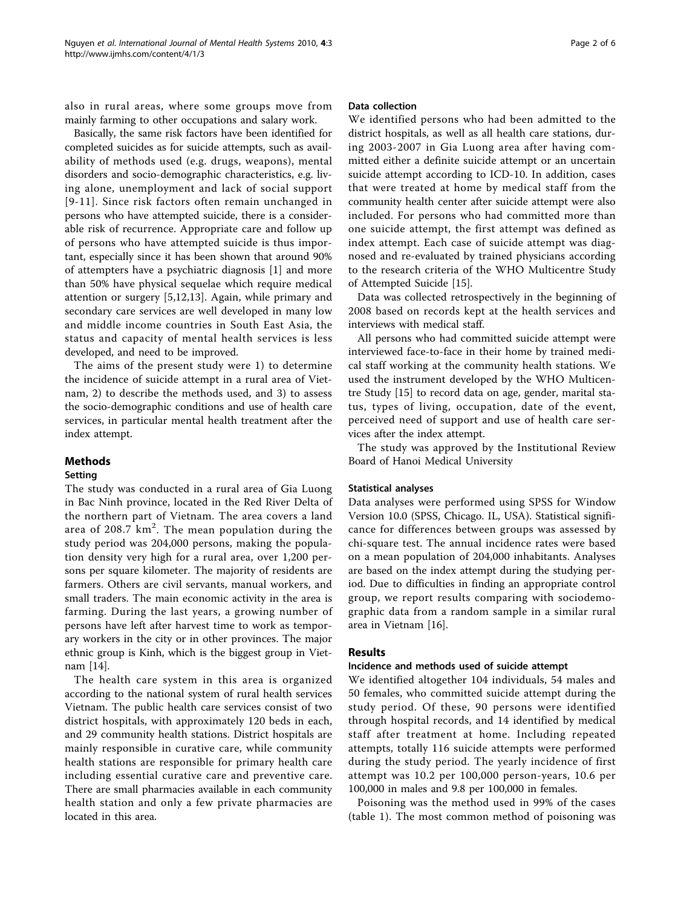also in rural areas, where some groups move from mainly farming to other occupations and salary work.

Basically, the same risk factors have been identified for completed suicides as for suicide attempts, such as availability of methods used (e.g. drugs, weapons), mental disorders and socio-demographic characteristics, e.g. living alone, unemployment and lack of social support [[9-11\]](#page-4-0). Since risk factors often remain unchanged in persons who have attempted suicide, there is a considerable risk of recurrence. Appropriate care and follow up of persons who have attempted suicide is thus important, especially since it has been shown that around 90% of attempters have a psychiatric diagnosis [[1\]](#page-4-0) and more than 50% have physical sequelae which require medical attention or surgery [\[5](#page-4-0),[12,13\]](#page-4-0). Again, while primary and secondary care services are well developed in many low and middle income countries in South East Asia, the status and capacity of mental health services is less developed, and need to be improved.

The aims of the present study were 1) to determine the incidence of suicide attempt in a rural area of Vietnam, 2) to describe the methods used, and 3) to assess the socio-demographic conditions and use of health care services, in particular mental health treatment after the index attempt.

# Methods

### Setting

The study was conducted in a rural area of Gia Luong in Bac Ninh province, located in the Red River Delta of the northern part of Vietnam. The area covers a land area of 208.7 km $^2$ . The mean population during the study period was 204,000 persons, making the population density very high for a rural area, over 1,200 persons per square kilometer. The majority of residents are farmers. Others are civil servants, manual workers, and small traders. The main economic activity in the area is farming. During the last years, a growing number of persons have left after harvest time to work as temporary workers in the city or in other provinces. The major ethnic group is Kinh, which is the biggest group in Vietnam [[14\]](#page-4-0).

The health care system in this area is organized according to the national system of rural health services Vietnam. The public health care services consist of two district hospitals, with approximately 120 beds in each, and 29 community health stations. District hospitals are mainly responsible in curative care, while community health stations are responsible for primary health care including essential curative care and preventive care. There are small pharmacies available in each community health station and only a few private pharmacies are located in this area.

#### Data collection

We identified persons who had been admitted to the district hospitals, as well as all health care stations, during 2003-2007 in Gia Luong area after having committed either a definite suicide attempt or an uncertain suicide attempt according to ICD-10. In addition, cases that were treated at home by medical staff from the community health center after suicide attempt were also included. For persons who had committed more than one suicide attempt, the first attempt was defined as index attempt. Each case of suicide attempt was diagnosed and re-evaluated by trained physicians according to the research criteria of the WHO Multicentre Study of Attempted Suicide [\[15](#page-4-0)].

Data was collected retrospectively in the beginning of 2008 based on records kept at the health services and interviews with medical staff.

All persons who had committed suicide attempt were interviewed face-to-face in their home by trained medical staff working at the community health stations. We used the instrument developed by the WHO Multicentre Study [[15](#page-4-0)] to record data on age, gender, marital status, types of living, occupation, date of the event, perceived need of support and use of health care services after the index attempt.

The study was approved by the Institutional Review Board of Hanoi Medical University

## Statistical analyses

Data analyses were performed using SPSS for Window Version 10.0 (SPSS, Chicago. IL, USA). Statistical significance for differences between groups was assessed by chi-square test. The annual incidence rates were based on a mean population of 204,000 inhabitants. Analyses are based on the index attempt during the studying period. Due to difficulties in finding an appropriate control group, we report results comparing with sociodemographic data from a random sample in a similar rural area in Vietnam [\[16\]](#page-4-0).

#### Results

#### Incidence and methods used of suicide attempt

We identified altogether 104 individuals, 54 males and 50 females, who committed suicide attempt during the study period. Of these, 90 persons were identified through hospital records, and 14 identified by medical staff after treatment at home. Including repeated attempts, totally 116 suicide attempts were performed during the study period. The yearly incidence of first attempt was 10.2 per 100,000 person-years, 10.6 per 100,000 in males and 9.8 per 100,000 in females.

Poisoning was the method used in 99% of the cases (table [1\)](#page-2-0). The most common method of poisoning was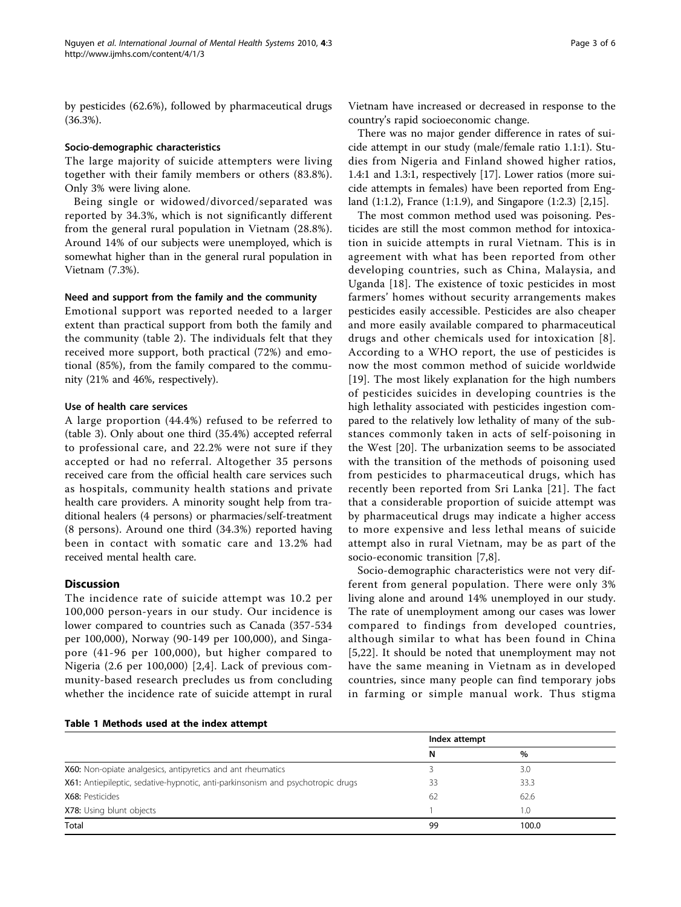<span id="page-2-0"></span>by pesticides (62.6%), followed by pharmaceutical drugs (36.3%).

## Socio-demographic characteristics

The large majority of suicide attempters were living together with their family members or others (83.8%). Only 3% were living alone.

Being single or widowed/divorced/separated was reported by 34.3%, which is not significantly different from the general rural population in Vietnam (28.8%). Around 14% of our subjects were unemployed, which is somewhat higher than in the general rural population in Vietnam (7.3%).

# Need and support from the family and the community

Emotional support was reported needed to a larger extent than practical support from both the family and the community (table [2](#page-3-0)). The individuals felt that they received more support, both practical (72%) and emotional (85%), from the family compared to the community (21% and 46%, respectively).

# Use of health care services

A large proportion (44.4%) refused to be referred to (table [3\)](#page-3-0). Only about one third (35.4%) accepted referral to professional care, and 22.2% were not sure if they accepted or had no referral. Altogether 35 persons received care from the official health care services such as hospitals, community health stations and private health care providers. A minority sought help from traditional healers (4 persons) or pharmacies/self-treatment (8 persons). Around one third (34.3%) reported having been in contact with somatic care and 13.2% had received mental health care.

# **Discussion**

The incidence rate of suicide attempt was 10.2 per 100,000 person-years in our study. Our incidence is lower compared to countries such as Canada (357-534 per 100,000), Norway (90-149 per 100,000), and Singapore (41-96 per 100,000), but higher compared to Nigeria (2.6 per 100,000) [[2,4](#page-4-0)]. Lack of previous community-based research precludes us from concluding whether the incidence rate of suicide attempt in rural

|  | Table 1 Methods used at the index attempt |  |  |  |
|--|-------------------------------------------|--|--|--|
|  |                                           |  |  |  |

Vietnam have increased or decreased in response to the country's rapid socioeconomic change.

There was no major gender difference in rates of suicide attempt in our study (male/female ratio 1.1:1). Studies from Nigeria and Finland showed higher ratios, 1.4:1 and 1.3:1, respectively [[17\]](#page-5-0). Lower ratios (more suicide attempts in females) have been reported from England (1:1.2), France (1:1.9), and Singapore (1:2.3) [[2](#page-4-0),[15](#page-4-0)].

The most common method used was poisoning. Pesticides are still the most common method for intoxication in suicide attempts in rural Vietnam. This is in agreement with what has been reported from other developing countries, such as China, Malaysia, and Uganda [[18\]](#page-5-0). The existence of toxic pesticides in most farmers' homes without security arrangements makes pesticides easily accessible. Pesticides are also cheaper and more easily available compared to pharmaceutical drugs and other chemicals used for intoxication [[8\]](#page-4-0). According to a WHO report, the use of pesticides is now the most common method of suicide worldwide [[19](#page-5-0)]. The most likely explanation for the high numbers of pesticides suicides in developing countries is the high lethality associated with pesticides ingestion compared to the relatively low lethality of many of the substances commonly taken in acts of self-poisoning in the West [\[20](#page-5-0)]. The urbanization seems to be associated with the transition of the methods of poisoning used from pesticides to pharmaceutical drugs, which has recently been reported from Sri Lanka [[21](#page-5-0)]. The fact that a considerable proportion of suicide attempt was by pharmaceutical drugs may indicate a higher access to more expensive and less lethal means of suicide attempt also in rural Vietnam, may be as part of the socio-economic transition [[7,8](#page-4-0)].

Socio-demographic characteristics were not very different from general population. There were only 3% living alone and around 14% unemployed in our study. The rate of unemployment among our cases was lower compared to findings from developed countries, although similar to what has been found in China [[5](#page-4-0)[,22](#page-5-0)]. It should be noted that unemployment may not have the same meaning in Vietnam as in developed countries, since many people can find temporary jobs in farming or simple manual work. Thus stigma

|                                                                                 | Index attempt |       |  |
|---------------------------------------------------------------------------------|---------------|-------|--|
|                                                                                 | N             | $\%$  |  |
| X60: Non-opiate analgesics, antipyretics and ant rheumatics                     |               | 3.0   |  |
| X61: Antiepileptic, sedative-hypnotic, anti-parkinsonism and psychotropic drugs | 33            | 33.3  |  |
| X68: Pesticides                                                                 | 62            | 62.6  |  |
| X78: Using blunt objects                                                        |               | 1.0   |  |
| Total                                                                           | 99            | 100.0 |  |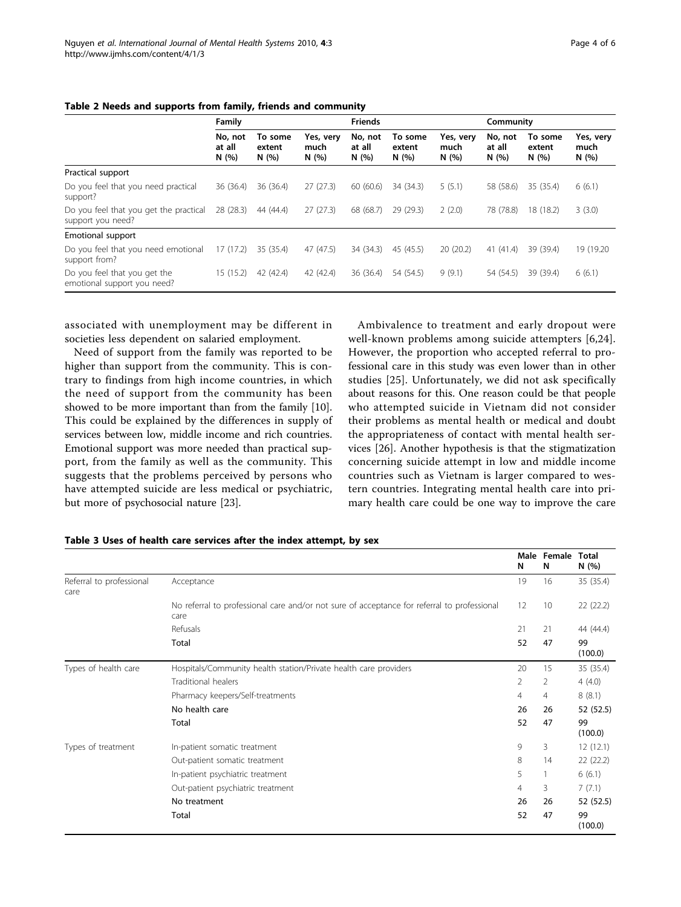<span id="page-3-0"></span>

| Table 2 Needs and supports from family, friends and community |  |  |
|---------------------------------------------------------------|--|--|
|                                                               |  |  |

|                                                             | Family                    |                            |                           | <b>Friends</b>            |                            |                           | Community                 |                           |                           |
|-------------------------------------------------------------|---------------------------|----------------------------|---------------------------|---------------------------|----------------------------|---------------------------|---------------------------|---------------------------|---------------------------|
|                                                             | No, not<br>at all<br>N(%) | To some<br>extent<br>N(96) | Yes, very<br>much<br>N(%) | No, not<br>at all<br>N(%) | To some<br>extent<br>N(96) | Yes, very<br>much<br>N(%) | No, not<br>at all<br>N(%) | To some<br>extent<br>N(%) | Yes, very<br>much<br>N(%) |
| Practical support                                           |                           |                            |                           |                           |                            |                           |                           |                           |                           |
| Do you feel that you need practical<br>support?             | 36 (36.4)                 | 36 (36.4)                  | 27(27.3)                  | 60(60.6)                  | 34 (34.3)                  | 5(5.1)                    | 58 (58.6)                 | 35 (35.4)                 | 6(6.1)                    |
| Do you feel that you get the practical<br>support you need? | 28(28.3)                  | 44 (44.4)                  | 27(27.3)                  | 68 (68.7)                 | 29 (29.3)                  | 2(2.0)                    | 78 (78.8)                 | 18 (18.2)                 | 3(3.0)                    |
| Emotional support                                           |                           |                            |                           |                           |                            |                           |                           |                           |                           |
| Do you feel that you need emotional<br>support from?        | 17(17.2)                  | 35 (35.4)                  | 47 (47.5)                 | 34 (34.3)                 | 45 (45.5)                  | 20(20.2)                  | 41 $(41.4)$               | 39 (39.4)                 | 19 (19.20                 |
| Do you feel that you get the<br>emotional support you need? | 15 (15.2)                 | 42 (42.4)                  | 42 (42.4)                 | 36 (36.4)                 | 54 (54.5)                  | 9(9.1)                    | 54 (54.5)                 | 39 (39.4)                 | 6(6.1)                    |

associated with unemployment may be different in societies less dependent on salaried employment.

Need of support from the family was reported to be higher than support from the community. This is contrary to findings from high income countries, in which the need of support from the community has been showed to be more important than from the family [\[10](#page-4-0)]. This could be explained by the differences in supply of services between low, middle income and rich countries. Emotional support was more needed than practical support, from the family as well as the community. This suggests that the problems perceived by persons who have attempted suicide are less medical or psychiatric, but more of psychosocial nature [[23\]](#page-5-0).

Ambivalence to treatment and early dropout were well-known problems among suicide attempters [[6,](#page-4-0)[24](#page-5-0)]. However, the proportion who accepted referral to professional care in this study was even lower than in other studies [[25](#page-5-0)]. Unfortunately, we did not ask specifically about reasons for this. One reason could be that people who attempted suicide in Vietnam did not consider their problems as mental health or medical and doubt the appropriateness of contact with mental health services [\[26](#page-5-0)]. Another hypothesis is that the stigmatization concerning suicide attempt in low and middle income countries such as Vietnam is larger compared to western countries. Integrating mental health care into primary health care could be one way to improve the care

|                                  |                                                                                                     | N  | Male Female Total<br>N | N (%)         |
|----------------------------------|-----------------------------------------------------------------------------------------------------|----|------------------------|---------------|
| Referral to professional<br>care | Acceptance                                                                                          | 19 | 16                     | 35 (35.4)     |
|                                  | No referral to professional care and/or not sure of acceptance for referral to professional<br>care | 12 | 10                     | 22(22.2)      |
|                                  | Refusals                                                                                            | 21 | 21                     | 44 (44.4)     |
|                                  | Total                                                                                               | 52 | 47                     | 99<br>(100.0) |
| Types of health care             | Hospitals/Community health station/Private health care providers                                    | 20 | 15                     | 35 (35.4)     |
|                                  | Traditional healers                                                                                 | 2  | 2                      | 4(4.0)        |
|                                  | Pharmacy keepers/Self-treatments                                                                    | 4  | $\overline{4}$         | 8(8.1)        |
|                                  | No health care                                                                                      | 26 | 26                     | 52 (52.5)     |
|                                  | Total                                                                                               | 52 | 47                     | 99<br>(100.0) |
| Types of treatment               | In-patient somatic treatment                                                                        | 9  | 3                      | 12(12.1)      |
|                                  | Out-patient somatic treatment                                                                       | 8  | 14                     | 22 (22.2)     |
|                                  | In-patient psychiatric treatment                                                                    | 5  |                        | 6(6.1)        |
|                                  | Out-patient psychiatric treatment                                                                   | 4  | 3                      | 7(7.1)        |
|                                  | No treatment                                                                                        | 26 | 26                     | 52 (52.5)     |
|                                  | Total                                                                                               | 52 | 47                     | 99<br>(100.0) |

#### Table 3 Uses of health care services after the index attempt, by sex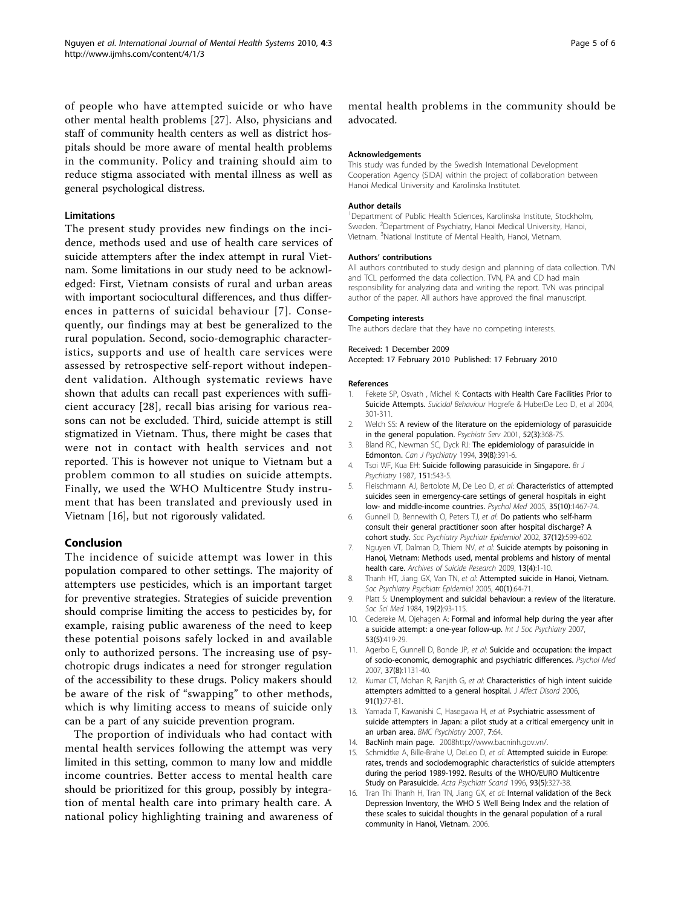<span id="page-4-0"></span>of people who have attempted suicide or who have other mental health problems [\[27](#page-5-0)]. Also, physicians and staff of community health centers as well as district hospitals should be more aware of mental health problems in the community. Policy and training should aim to reduce stigma associated with mental illness as well as general psychological distress.

#### Limitations

The present study provides new findings on the incidence, methods used and use of health care services of suicide attempters after the index attempt in rural Vietnam. Some limitations in our study need to be acknowledged: First, Vietnam consists of rural and urban areas with important sociocultural differences, and thus differences in patterns of suicidal behaviour [7]. Consequently, our findings may at best be generalized to the rural population. Second, socio-demographic characteristics, supports and use of health care services were assessed by retrospective self-report without independent validation. Although systematic reviews have shown that adults can recall past experiences with sufficient accuracy [[28](#page-5-0)], recall bias arising for various reasons can not be excluded. Third, suicide attempt is still stigmatized in Vietnam. Thus, there might be cases that were not in contact with health services and not reported. This is however not unique to Vietnam but a problem common to all studies on suicide attempts. Finally, we used the WHO Multicentre Study instrument that has been translated and previously used in Vietnam [16], but not rigorously validated.

#### Conclusion

The incidence of suicide attempt was lower in this population compared to other settings. The majority of attempters use pesticides, which is an important target for preventive strategies. Strategies of suicide prevention should comprise limiting the access to pesticides by, for example, raising public awareness of the need to keep these potential poisons safely locked in and available only to authorized persons. The increasing use of psychotropic drugs indicates a need for stronger regulation of the accessibility to these drugs. Policy makers should be aware of the risk of "swapping" to other methods, which is why limiting access to means of suicide only can be a part of any suicide prevention program.

The proportion of individuals who had contact with mental health services following the attempt was very limited in this setting, common to many low and middle income countries. Better access to mental health care should be prioritized for this group, possibly by integration of mental health care into primary health care. A national policy highlighting training and awareness of

mental health problems in the community should be advocated.

#### Acknowledgements

This study was funded by the Swedish International Development Cooperation Agency (SIDA) within the project of collaboration between Hanoi Medical University and Karolinska Institutet.

#### Author details

<sup>1</sup>Department of Public Health Sciences, Karolinska Institute, Stockholm Sweden. <sup>2</sup>Department of Psychiatry, Hanoi Medical University, Hanoi, Vietnam. <sup>3</sup>National Institute of Mental Health, Hanoi, Vietnam.

#### Authors' contributions

All authors contributed to study design and planning of data collection. TVN and TCL performed the data collection. TVN, PA and CD had main responsibility for analyzing data and writing the report. TVN was principal author of the paper. All authors have approved the final manuscript.

#### Competing interests

The authors declare that they have no competing interests.

Received: 1 December 2009

Accepted: 17 February 2010 Published: 17 February 2010

#### References

- 1. Fekete SP, Osvath , Michel K: Contacts with Health Care Facilities Prior to Suicide Attempts. Suicidal Behaviour Hogrefe & HuberDe Leo D, et al 2004, 301-311.
- 2. Welch SS: [A review of the literature on the epidemiology of parasuicide](http://www.ncbi.nlm.nih.gov/pubmed/11239107?dopt=Abstract) [in the general population.](http://www.ncbi.nlm.nih.gov/pubmed/11239107?dopt=Abstract) Psychiatr Serv 2001, 52(3):368-75.
- 3. Bland RC, Newman SC, Dyck RJ: [The epidemiology of parasuicide in](http://www.ncbi.nlm.nih.gov/pubmed/7834595?dopt=Abstract) [Edmonton.](http://www.ncbi.nlm.nih.gov/pubmed/7834595?dopt=Abstract) Can J Psychiatry 1994, 39(8):391-6.
- 4. Tsoi WF, Kua EH: [Suicide following parasuicide in Singapore.](http://www.ncbi.nlm.nih.gov/pubmed/3447671?dopt=Abstract) Br J Psychiatry 1987, 151:543-5.
- 5. Fleischmann AJ, Bertolote M, De Leo D, et al: [Characteristics of attempted](http://www.ncbi.nlm.nih.gov/pubmed/16164770?dopt=Abstract) [suicides seen in emergency-care settings of general hospitals in eight](http://www.ncbi.nlm.nih.gov/pubmed/16164770?dopt=Abstract) [low- and middle-income countries.](http://www.ncbi.nlm.nih.gov/pubmed/16164770?dopt=Abstract) Psychol Med 2005, 35(10):1467-74.
- 6. Gunnell D, Bennewith O, Peters TJ, et al: [Do patients who self-harm](http://www.ncbi.nlm.nih.gov/pubmed/12545238?dopt=Abstract) [consult their general practitioner soon after hospital discharge? A](http://www.ncbi.nlm.nih.gov/pubmed/12545238?dopt=Abstract) [cohort study.](http://www.ncbi.nlm.nih.gov/pubmed/12545238?dopt=Abstract) Soc Psychiatry Psychiatr Epidemiol 2002, 37(12):599-602.
- 7. Nguyen VT, Dalman D, Thiem NV, et al: [Suicide atempts by poisoning in](http://www.ncbi.nlm.nih.gov/pubmed/19123105?dopt=Abstract) [Hanoi, Vietnam: Methods used, mental problems and history of mental](http://www.ncbi.nlm.nih.gov/pubmed/19123105?dopt=Abstract) [health care.](http://www.ncbi.nlm.nih.gov/pubmed/19123105?dopt=Abstract) Archives of Suicide Research 2009, 13(4):1-10.
- 8. Thanh HT, Jiang GX, Van TN, et al: [Attempted suicide in Hanoi, Vietnam.](http://www.ncbi.nlm.nih.gov/pubmed/15624077?dopt=Abstract) Soc Psychiatry Psychiatr Epidemiol 2005, 40(1):64-71.
- 9. Platt S: [Unemployment and suicidal behaviour: a review of the literature.](http://www.ncbi.nlm.nih.gov/pubmed/6382623?dopt=Abstract) Soc Sci Med 1984, 19(2):93-115.
- 10. Cedereke M, Ojehagen A: [Formal and informal help during the year after](http://www.ncbi.nlm.nih.gov/pubmed/18018664?dopt=Abstract) [a suicide attempt: a one-year follow-up.](http://www.ncbi.nlm.nih.gov/pubmed/18018664?dopt=Abstract) Int J Soc Psychiatry 2007, 53(5):419-29.
- 11. Agerbo E, Gunnell D, Bonde JP, et al: [Suicide and occupation: the impact](http://www.ncbi.nlm.nih.gov/pubmed/17445281?dopt=Abstract) [of socio-economic, demographic and psychiatric differences.](http://www.ncbi.nlm.nih.gov/pubmed/17445281?dopt=Abstract) Psychol Med 2007, 37(8):1131-40.
- 12. Kumar CT, Mohan R, Ranjith G, et al: [Characteristics of high intent suicide](http://www.ncbi.nlm.nih.gov/pubmed/16443283?dopt=Abstract) [attempters admitted to a general hospital.](http://www.ncbi.nlm.nih.gov/pubmed/16443283?dopt=Abstract) J Affect Disord 2006, 91(1):77-81.
- 13. Yamada T, Kawanishi C, Hasegawa H, et al: [Psychiatric assessment of](http://www.ncbi.nlm.nih.gov/pubmed/17986359?dopt=Abstract) [suicide attempters in Japan: a pilot study at a critical emergency unit in](http://www.ncbi.nlm.nih.gov/pubmed/17986359?dopt=Abstract) [an urban area.](http://www.ncbi.nlm.nih.gov/pubmed/17986359?dopt=Abstract) BMC Psychiatry 2007, 7:64.
- 14. BacNinh main page. 200[8http://www.bacninh.gov.vn/](http://www.bacninh.gov.vn/).
- 15. Schmidtke A, Bille-Brahe U, DeLeo D, et al: [Attempted suicide in Europe:](http://www.ncbi.nlm.nih.gov/pubmed/8792901?dopt=Abstract) [rates, trends and sociodemographic characteristics of suicide attempters](http://www.ncbi.nlm.nih.gov/pubmed/8792901?dopt=Abstract) [during the period 1989-1992. Results of the WHO/EURO Multicentre](http://www.ncbi.nlm.nih.gov/pubmed/8792901?dopt=Abstract) [Study on Parasuicide.](http://www.ncbi.nlm.nih.gov/pubmed/8792901?dopt=Abstract) Acta Psychiatr Scand 1996, 93(5):327-38.
- 16. Tran Thi Thanh H, Tran TN, Jiang GX, et al: [Internal validation of the Beck](http://www.ncbi.nlm.nih.gov/pubmed/16563173?dopt=Abstract) [Depression Inventory, the WHO 5 Well Being Index and the relation of](http://www.ncbi.nlm.nih.gov/pubmed/16563173?dopt=Abstract) [these scales to suicidal thoughts in the genaral population of a rural](http://www.ncbi.nlm.nih.gov/pubmed/16563173?dopt=Abstract) [community in Hanoi, Vietnam.](http://www.ncbi.nlm.nih.gov/pubmed/16563173?dopt=Abstract) 2006.